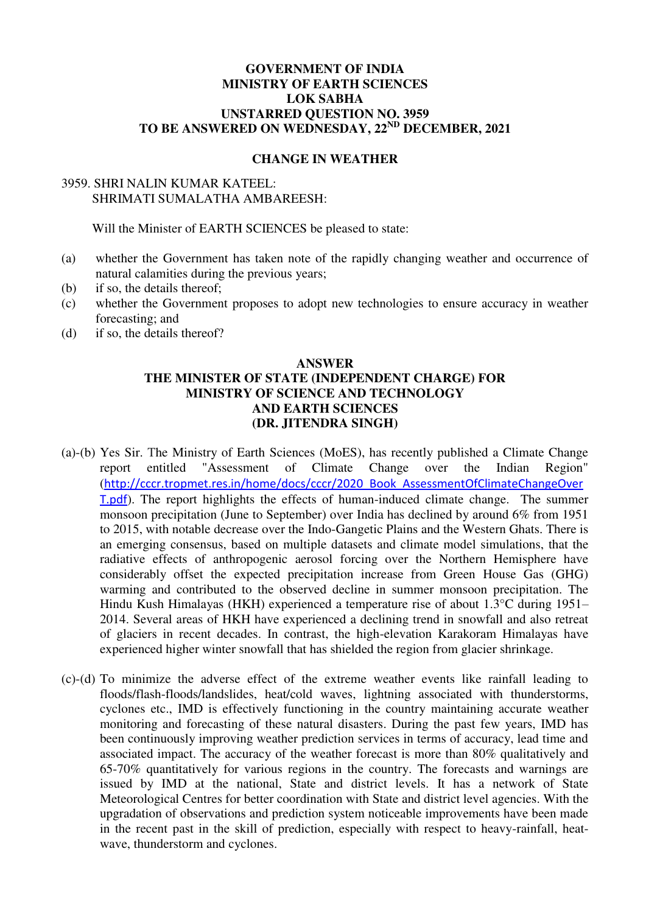## **GOVERNMENT OF INDIA MINISTRY OF EARTH SCIENCES LOK SABHA UNSTARRED QUESTION NO. 3959 TO BE ANSWERED ON WEDNESDAY, 22ND DECEMBER, 2021**

## **CHANGE IN WEATHER**

## 3959. SHRI NALIN KUMAR KATEEL: SHRIMATI SUMALATHA AMBAREESH:

Will the Minister of EARTH SCIENCES be pleased to state:

- (a) whether the Government has taken note of the rapidly changing weather and occurrence of natural calamities during the previous years;
- (b) if so, the details thereof;
- (c) whether the Government proposes to adopt new technologies to ensure accuracy in weather forecasting; and
- (d) if so, the details thereof?

## **ANSWER THE MINISTER OF STATE (INDEPENDENT CHARGE) FOR MINISTRY OF SCIENCE AND TECHNOLOGY AND EARTH SCIENCES (DR. JITENDRA SINGH)**

- (a)-(b) Yes Sir. The Ministry of Earth Sciences (MoES), has recently published a Climate Change report entitled "Assessment of Climate Change over the Indian Region" ([http://cccr.tropmet.res.in/home/docs/cccr/2020\\_Book\\_AssessmentOfClimateChangeOver](http://cccr.tropmet.res.in/home/docs/cccr/2020_Book_AssessmentOfClimateChangeOverT.pdf) [T.pdf](http://cccr.tropmet.res.in/home/docs/cccr/2020_Book_AssessmentOfClimateChangeOverT.pdf)). The report highlights the effects of human-induced climate change. The summer monsoon precipitation (June to September) over India has declined by around 6% from 1951 to 2015, with notable decrease over the Indo-Gangetic Plains and the Western Ghats. There is an emerging consensus, based on multiple datasets and climate model simulations, that the radiative effects of anthropogenic aerosol forcing over the Northern Hemisphere have considerably offset the expected precipitation increase from Green House Gas (GHG) warming and contributed to the observed decline in summer monsoon precipitation. The Hindu Kush Himalayas (HKH) experienced a temperature rise of about 1.3°C during 1951– 2014. Several areas of HKH have experienced a declining trend in snowfall and also retreat of glaciers in recent decades. In contrast, the high-elevation Karakoram Himalayas have experienced higher winter snowfall that has shielded the region from glacier shrinkage.
- (c)-(d) To minimize the adverse effect of the extreme weather events like rainfall leading to floods/flash-floods/landslides, heat/cold waves, lightning associated with thunderstorms, cyclones etc., IMD is effectively functioning in the country maintaining accurate weather monitoring and forecasting of these natural disasters. During the past few years, IMD has been continuously improving weather prediction services in terms of accuracy, lead time and associated impact. The accuracy of the weather forecast is more than 80% qualitatively and 65-70% quantitatively for various regions in the country. The forecasts and warnings are issued by IMD at the national, State and district levels. It has a network of State Meteorological Centres for better coordination with State and district level agencies. With the upgradation of observations and prediction system noticeable improvements have been made in the recent past in the skill of prediction, especially with respect to heavy-rainfall, heatwave, thunderstorm and cyclones.